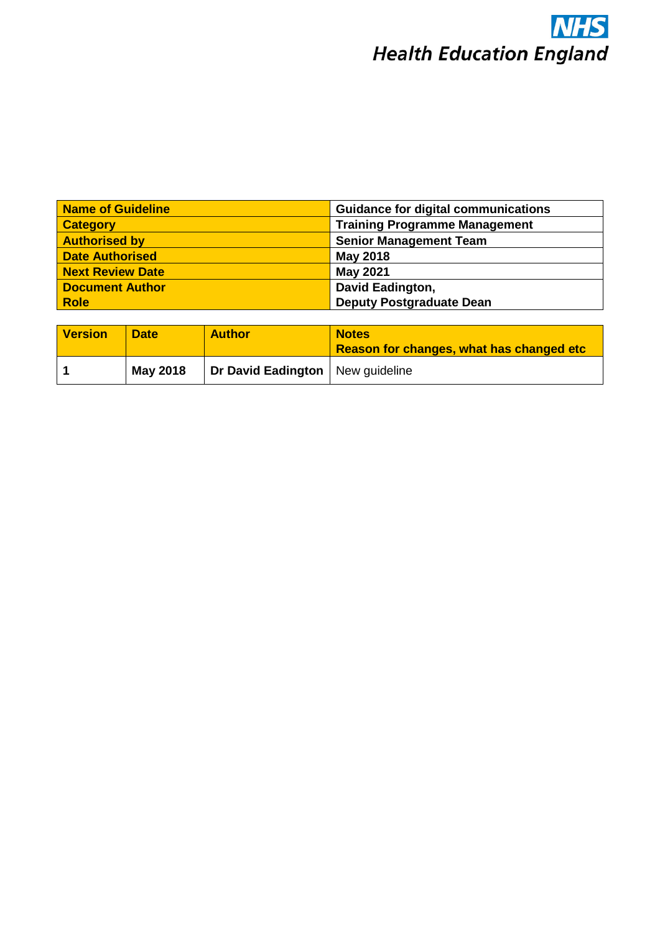

| <b>Name of Guideline</b> | <b>Guidance for digital communications</b> |
|--------------------------|--------------------------------------------|
| <b>Category</b>          | <b>Training Programme Management</b>       |
| <b>Authorised by</b>     | <b>Senior Management Team</b>              |
| <b>Date Authorised</b>   | <b>May 2018</b>                            |
| <b>Next Review Date</b>  | <b>May 2021</b>                            |
| <b>Document Author</b>   | David Eadington,                           |
| <b>Role</b>              | <b>Deputy Postgraduate Dean</b>            |

| <b>Version</b> | <b>Date</b>     | <b>Author</b>                      | <b>Notes</b><br><b>Reason for changes, what has changed etc</b> |
|----------------|-----------------|------------------------------------|-----------------------------------------------------------------|
|                | <b>May 2018</b> | Dr David Eadington   New guideline |                                                                 |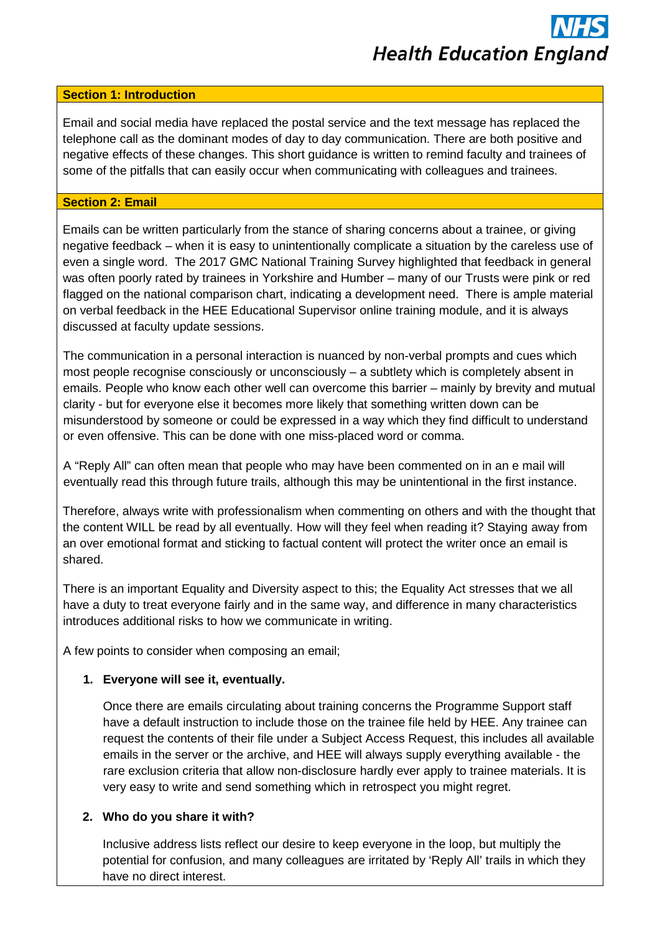## **Health Education England**

#### **Section 1: Introduction**

Email and social media have replaced the postal service and the text message has replaced the telephone call as the dominant modes of day to day communication. There are both positive and negative effects of these changes. This short guidance is written to remind faculty and trainees of some of the pitfalls that can easily occur when communicating with colleagues and trainees.

#### **Section 2: Email**

Emails can be written particularly from the stance of sharing concerns about a trainee, or giving negative feedback – when it is easy to unintentionally complicate a situation by the careless use of even a single word. The 2017 GMC National Training Survey highlighted that feedback in general was often poorly rated by trainees in Yorkshire and Humber – many of our Trusts were pink or red flagged on the national comparison chart, indicating a development need. There is ample material on verbal feedback in the HEE Educational Supervisor online training module, and it is always discussed at faculty update sessions.

The communication in a personal interaction is nuanced by non-verbal prompts and cues which most people recognise consciously or unconsciously – a subtlety which is completely absent in emails. People who know each other well can overcome this barrier – mainly by brevity and mutual clarity - but for everyone else it becomes more likely that something written down can be misunderstood by someone or could be expressed in a way which they find difficult to understand or even offensive. This can be done with one miss-placed word or comma.

A "Reply All" can often mean that people who may have been commented on in an e mail will eventually read this through future trails, although this may be unintentional in the first instance.

Therefore, always write with professionalism when commenting on others and with the thought that the content WILL be read by all eventually. How will they feel when reading it? Staying away from an over emotional format and sticking to factual content will protect the writer once an email is shared.

There is an important Equality and Diversity aspect to this; the Equality Act stresses that we all have a duty to treat everyone fairly and in the same way, and difference in many characteristics introduces additional risks to how we communicate in writing.

A few points to consider when composing an email;

#### **1. Everyone will see it, eventually.**

Once there are emails circulating about training concerns the Programme Support staff have a default instruction to include those on the trainee file held by HEE. Any trainee can request the contents of their file under a Subject Access Request, this includes all available emails in the server or the archive, and HEE will always supply everything available - the rare exclusion criteria that allow non-disclosure hardly ever apply to trainee materials. It is very easy to write and send something which in retrospect you might regret.

#### **2. Who do you share it with?**

Inclusive address lists reflect our desire to keep everyone in the loop, but multiply the potential for confusion, and many colleagues are irritated by 'Reply All' trails in which they have no direct interest.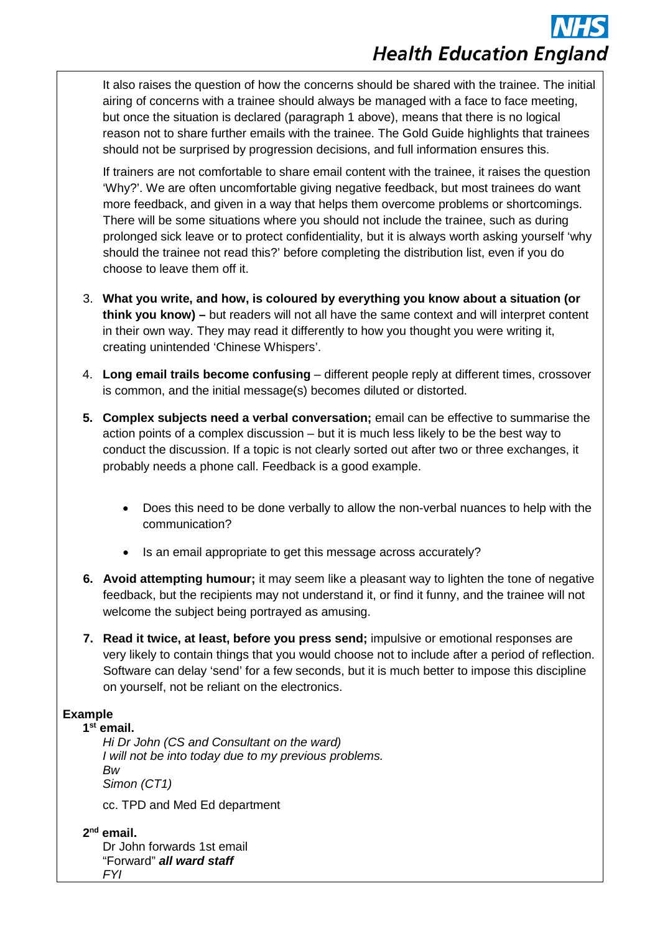# **Health Education England**

It also raises the question of how the concerns should be shared with the trainee. The initial airing of concerns with a trainee should always be managed with a face to face meeting, but once the situation is declared (paragraph 1 above), means that there is no logical reason not to share further emails with the trainee. The Gold Guide highlights that trainees should not be surprised by progression decisions, and full information ensures this.

If trainers are not comfortable to share email content with the trainee, it raises the question 'Why?'. We are often uncomfortable giving negative feedback, but most trainees do want more feedback, and given in a way that helps them overcome problems or shortcomings. There will be some situations where you should not include the trainee, such as during prolonged sick leave or to protect confidentiality, but it is always worth asking yourself 'why should the trainee not read this?' before completing the distribution list, even if you do choose to leave them off it.

- 3. **What you write, and how, is coloured by everything you know about a situation (or think you know) –** but readers will not all have the same context and will interpret content in their own way. They may read it differently to how you thought you were writing it, creating unintended 'Chinese Whispers'.
- 4. **Long email trails become confusing** different people reply at different times, crossover is common, and the initial message(s) becomes diluted or distorted.
- **5. Complex subjects need a verbal conversation;** email can be effective to summarise the action points of a complex discussion – but it is much less likely to be the best way to conduct the discussion. If a topic is not clearly sorted out after two or three exchanges, it probably needs a phone call. Feedback is a good example.
	- Does this need to be done verbally to allow the non-verbal nuances to help with the communication?
	- Is an email appropriate to get this message across accurately?
- **6. Avoid attempting humour;** it may seem like a pleasant way to lighten the tone of negative feedback, but the recipients may not understand it, or find it funny, and the trainee will not welcome the subject being portrayed as amusing.
- **7. Read it twice, at least, before you press send;** impulsive or emotional responses are very likely to contain things that you would choose not to include after a period of reflection. Software can delay 'send' for a few seconds, but it is much better to impose this discipline on yourself, not be reliant on the electronics.

#### **Example**

#### **1st email.**

*Hi Dr John (CS and Consultant on the ward) I will not be into today due to my previous problems. Bw Simon (CT1)*

cc. TPD and Med Ed department

**2nd email.** Dr John forwards 1st email "Forward" *all ward staff FYI*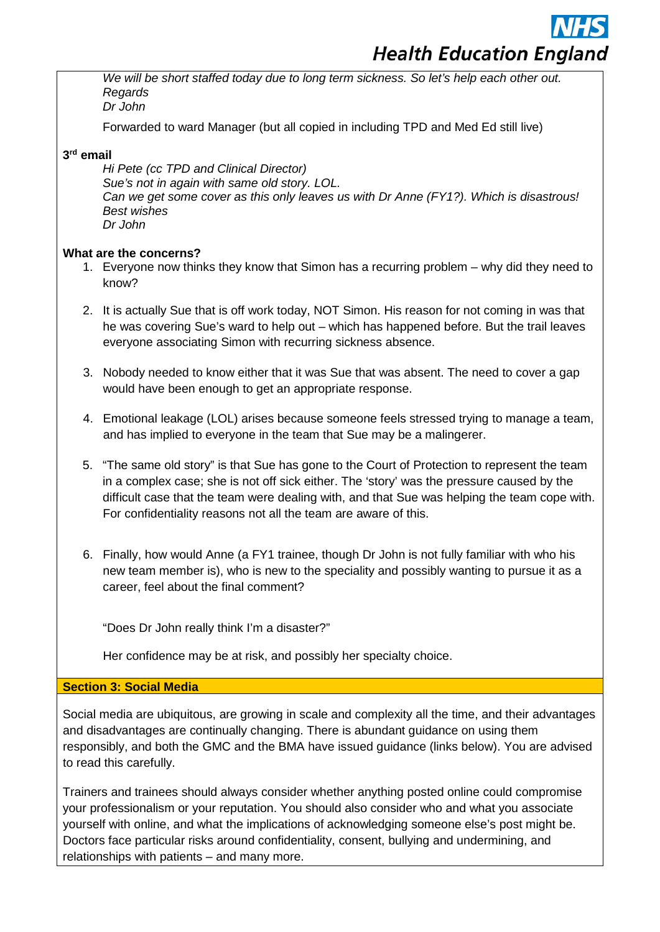## **Health Education England**

*We will be short staffed today due to long term sickness. So let's help each other out. Regards Dr John*

Forwarded to ward Manager (but all copied in including TPD and Med Ed still live)

#### **3rd email**

*Hi Pete (cc TPD and Clinical Director) Sue's not in again with same old story. LOL. Can we get some cover as this only leaves us with Dr Anne (FY1?). Which is disastrous! Best wishes Dr John*

#### **What are the concerns?**

- 1. Everyone now thinks they know that Simon has a recurring problem why did they need to know?
- 2. It is actually Sue that is off work today, NOT Simon. His reason for not coming in was that he was covering Sue's ward to help out – which has happened before. But the trail leaves everyone associating Simon with recurring sickness absence.
- 3. Nobody needed to know either that it was Sue that was absent. The need to cover a gap would have been enough to get an appropriate response.
- 4. Emotional leakage (LOL) arises because someone feels stressed trying to manage a team, and has implied to everyone in the team that Sue may be a malingerer.
- 5. "The same old story" is that Sue has gone to the Court of Protection to represent the team in a complex case; she is not off sick either. The 'story' was the pressure caused by the difficult case that the team were dealing with, and that Sue was helping the team cope with. For confidentiality reasons not all the team are aware of this.
- 6. Finally, how would Anne (a FY1 trainee, though Dr John is not fully familiar with who his new team member is), who is new to the speciality and possibly wanting to pursue it as a career, feel about the final comment?

"Does Dr John really think I'm a disaster?"

Her confidence may be at risk, and possibly her specialty choice.

#### **Section 3: Social Media**

Social media are ubiquitous, are growing in scale and complexity all the time, and their advantages and disadvantages are continually changing. There is abundant guidance on using them responsibly, and both the GMC and the BMA have issued guidance (links below). You are advised to read this carefully.

Trainers and trainees should always consider whether anything posted online could compromise your professionalism or your reputation. You should also consider who and what you associate yourself with online, and what the implications of acknowledging someone else's post might be. Doctors face particular risks around confidentiality, consent, bullying and undermining, and relationships with patients – and many more.